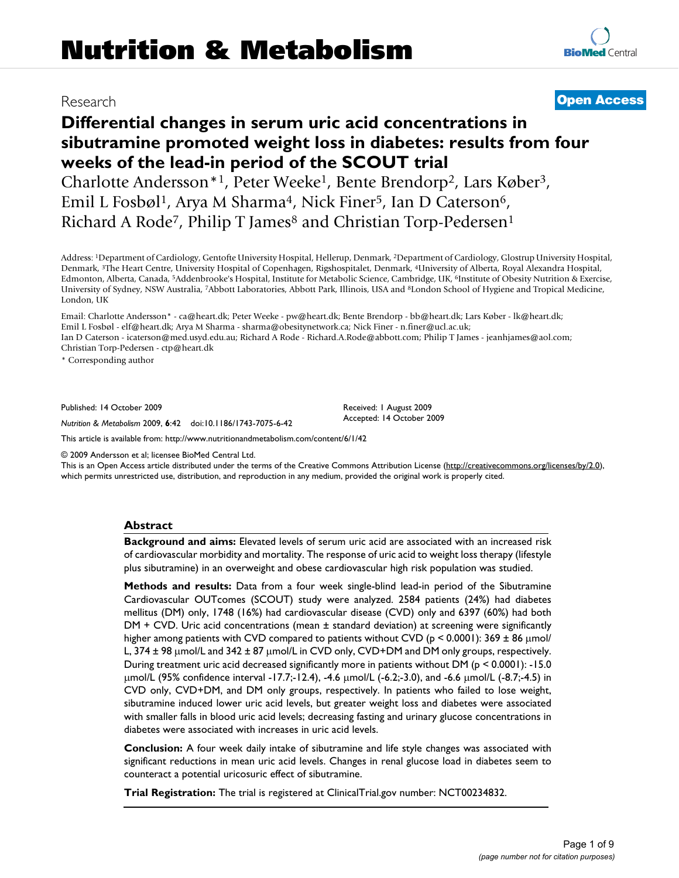# **Differential changes in serum uric acid concentrations in sibutramine promoted weight loss in diabetes: results from four weeks of the lead-in period of the SCOUT trial**

Charlotte Andersson\*1, Peter Weeke1, Bente Brendorp2, Lars Køber3, Emil L Fosbøl<sup>1</sup>, Arya M Sharma<sup>4</sup>, Nick Finer<sup>5</sup>, Ian D Caterson<sup>6</sup>, Richard A Rode<sup>7</sup>, Philip T James<sup>8</sup> and Christian Torp-Pedersen<sup>1</sup>

Address: 1Department of Cardiology, Gentofte University Hospital, Hellerup, Denmark, 2Department of Cardiology, Glostrup University Hospital, Denmark, 3The Heart Centre, University Hospital of Copenhagen, Rigshospitalet, Denmark, 4University of Alberta, Royal Alexandra Hospital, Edmonton, Alberta, Canada, 5Addenbrooke's Hospital, Institute for Metabolic Science, Cambridge, UK, 6Institute of Obesity Nutrition & Exercise, University of Sydney, NSW Australia, 7Abbott Laboratories, Abbott Park, Illinois, USA and 8London School of Hygiene and Tropical Medicine, London, UK

Email: Charlotte Andersson\* - ca@heart.dk; Peter Weeke - pw@heart.dk; Bente Brendorp - bb@heart.dk; Lars Køber - lk@heart.dk; Emil L Fosbøl - elf@heart.dk; Arya M Sharma - sharma@obesitynetwork.ca; Nick Finer - n.finer@ucl.ac.uk; Ian D Caterson - icaterson@med.usyd.edu.au; Richard A Rode - Richard.A.Rode@abbott.com; Philip T James - jeanhjames@aol.com; Christian Torp-Pedersen - ctp@heart.dk

\* Corresponding author

Published: 14 October 2009

*Nutrition & Metabolism* 2009, **6**:42 doi:10.1186/1743-7075-6-42

Received: 1 August 2009 Accepted: 14 October 2009

[This article is available from: http://www.nutritionandmetabolism.com/content/6/1/42](http://www.nutritionandmetabolism.com/content/6/1/42)

© 2009 Andersson et al; licensee BioMed Central Ltd.

This is an Open Access article distributed under the terms of the Creative Commons Attribution License [\(http://creativecommons.org/licenses/by/2.0\)](http://creativecommons.org/licenses/by/2.0), which permits unrestricted use, distribution, and reproduction in any medium, provided the original work is properly cited.

#### **Abstract**

**Background and aims:** Elevated levels of serum uric acid are associated with an increased risk of cardiovascular morbidity and mortality. The response of uric acid to weight loss therapy (lifestyle plus sibutramine) in an overweight and obese cardiovascular high risk population was studied.

**Methods and results:** Data from a four week single-blind lead-in period of the Sibutramine Cardiovascular OUTcomes (SCOUT) study were analyzed. 2584 patients (24%) had diabetes mellitus (DM) only, 1748 (16%) had cardiovascular disease (CVD) only and 6397 (60%) had both  $DM + CVD$ . Uric acid concentrations (mean  $\pm$  standard deviation) at screening were significantly higher among patients with CVD compared to patients without CVD (p < 0.0001): 369 ± 86 μmol/ L, 374  $\pm$  98  $\mu$ mol/L and 342  $\pm$  87  $\mu$ mol/L in CVD only, CVD+DM and DM only groups, respectively. During treatment uric acid decreased significantly more in patients without DM (p < 0.0001): -15.0 μmol/L (95% confidence interval -17.7;-12.4), -4.6 μmol/L (-6.2;-3.0), and -6.6 μmol/L (-8.7;-4.5) in CVD only, CVD+DM, and DM only groups, respectively. In patients who failed to lose weight, sibutramine induced lower uric acid levels, but greater weight loss and diabetes were associated with smaller falls in blood uric acid levels; decreasing fasting and urinary glucose concentrations in diabetes were associated with increases in uric acid levels.

**Conclusion:** A four week daily intake of sibutramine and life style changes was associated with significant reductions in mean uric acid levels. Changes in renal glucose load in diabetes seem to counteract a potential uricosuric effect of sibutramine.

**Trial Registration:** The trial is registered at ClinicalTrial.gov number: NCT00234832.

# Research **[Open Access](http://www.biomedcentral.com/info/about/charter/)**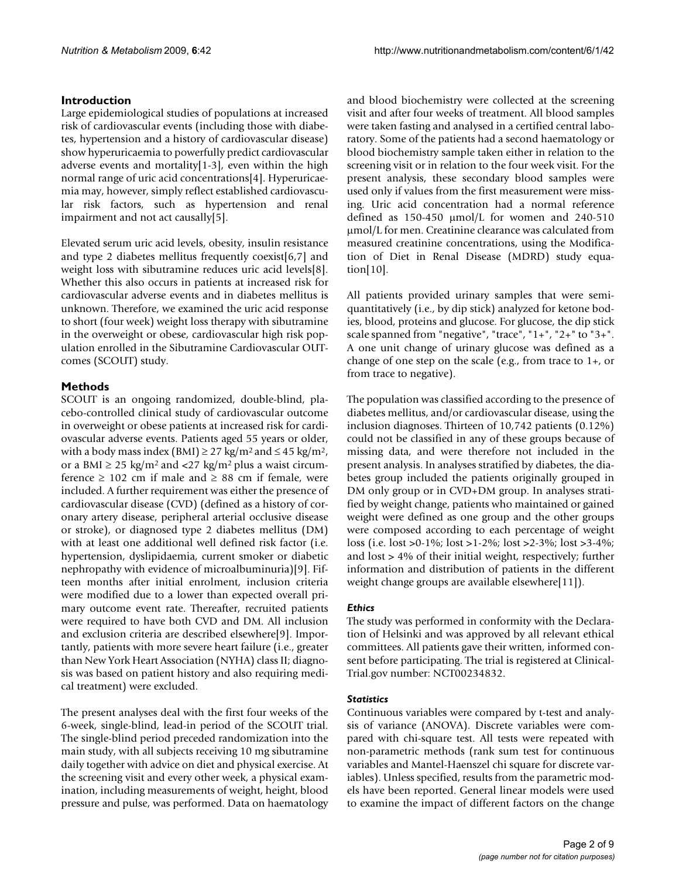# **Introduction**

Large epidemiological studies of populations at increased risk of cardiovascular events (including those with diabetes, hypertension and a history of cardiovascular disease) show hyperuricaemia to powerfully predict cardiovascular adverse events and mortality[1-3], even within the high normal range of uric acid concentrations[4]. Hyperuricaemia may, however, simply reflect established cardiovascular risk factors, such as hypertension and renal impairment and not act causally[5].

Elevated serum uric acid levels, obesity, insulin resistance and type 2 diabetes mellitus frequently coexist[6,7] and weight loss with sibutramine reduces uric acid levels[8]. Whether this also occurs in patients at increased risk for cardiovascular adverse events and in diabetes mellitus is unknown. Therefore, we examined the uric acid response to short (four week) weight loss therapy with sibutramine in the overweight or obese, cardiovascular high risk population enrolled in the Sibutramine Cardiovascular OUTcomes (SCOUT) study.

# **Methods**

SCOUT is an ongoing randomized, double-blind, placebo-controlled clinical study of cardiovascular outcome in overweight or obese patients at increased risk for cardiovascular adverse events. Patients aged 55 years or older, with a body mass index (BMI)  $\geq$  27 kg/m<sup>2</sup> and  $\leq$  45 kg/m<sup>2</sup>, or a BMI  $\geq$  25 kg/m<sup>2</sup> and <27 kg/m<sup>2</sup> plus a waist circumference ≥ 102 cm if male and ≥ 88 cm if female, were included. A further requirement was either the presence of cardiovascular disease (CVD) (defined as a history of coronary artery disease, peripheral arterial occlusive disease or stroke), or diagnosed type 2 diabetes mellitus (DM) with at least one additional well defined risk factor (i.e. hypertension, dyslipidaemia, current smoker or diabetic nephropathy with evidence of microalbuminuria)[9]. Fifteen months after initial enrolment, inclusion criteria were modified due to a lower than expected overall primary outcome event rate. Thereafter, recruited patients were required to have both CVD and DM. All inclusion and exclusion criteria are described elsewhere[9]. Importantly, patients with more severe heart failure (i.e., greater than New York Heart Association (NYHA) class II; diagnosis was based on patient history and also requiring medical treatment) were excluded.

The present analyses deal with the first four weeks of the 6-week, single-blind, lead-in period of the SCOUT trial. The single-blind period preceded randomization into the main study, with all subjects receiving 10 mg sibutramine daily together with advice on diet and physical exercise. At the screening visit and every other week, a physical examination, including measurements of weight, height, blood pressure and pulse, was performed. Data on haematology

and blood biochemistry were collected at the screening visit and after four weeks of treatment. All blood samples were taken fasting and analysed in a certified central laboratory. Some of the patients had a second haematology or blood biochemistry sample taken either in relation to the screening visit or in relation to the four week visit. For the present analysis, these secondary blood samples were used only if values from the first measurement were missing. Uric acid concentration had a normal reference defined as 150-450 μmol/L for women and 240-510 μmol/L for men. Creatinine clearance was calculated from measured creatinine concentrations, using the Modification of Diet in Renal Disease (MDRD) study equation[10].

All patients provided urinary samples that were semiquantitatively (i.e., by dip stick) analyzed for ketone bodies, blood, proteins and glucose. For glucose, the dip stick scale spanned from "negative", "trace", "1+", "2+" to "3+". A one unit change of urinary glucose was defined as a change of one step on the scale (e.g., from trace to 1+, or from trace to negative).

The population was classified according to the presence of diabetes mellitus, and/or cardiovascular disease, using the inclusion diagnoses. Thirteen of 10,742 patients (0.12%) could not be classified in any of these groups because of missing data, and were therefore not included in the present analysis. In analyses stratified by diabetes, the diabetes group included the patients originally grouped in DM only group or in CVD+DM group. In analyses stratified by weight change, patients who maintained or gained weight were defined as one group and the other groups were composed according to each percentage of weight loss (i.e. lost >0-1%; lost >1-2%; lost >2-3%; lost >3-4%; and lost > 4% of their initial weight, respectively; further information and distribution of patients in the different weight change groups are available elsewhere[11]).

## *Ethics*

The study was performed in conformity with the Declaration of Helsinki and was approved by all relevant ethical committees. All patients gave their written, informed consent before participating. The trial is registered at Clinical-Trial.gov number: NCT00234832.

#### *Statistics*

Continuous variables were compared by t-test and analysis of variance (ANOVA). Discrete variables were compared with chi-square test. All tests were repeated with non-parametric methods (rank sum test for continuous variables and Mantel-Haenszel chi square for discrete variables). Unless specified, results from the parametric models have been reported. General linear models were used to examine the impact of different factors on the change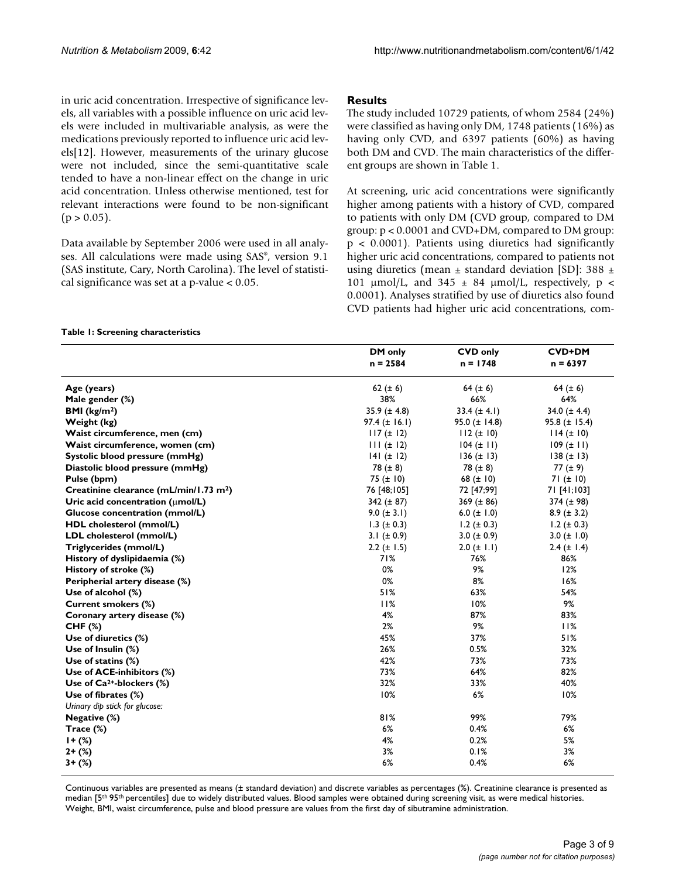in uric acid concentration. Irrespective of significance levels, all variables with a possible influence on uric acid levels were included in multivariable analysis, as were the medications previously reported to influence uric acid levels[12]. However, measurements of the urinary glucose were not included, since the semi-quantitative scale tended to have a non-linear effect on the change in uric acid concentration. Unless otherwise mentioned, test for relevant interactions were found to be non-significant  $(p > 0.05)$ .

Data available by September 2006 were used in all analyses. All calculations were made using SAS®, version 9.1 (SAS institute, Cary, North Carolina). The level of statistical significance was set at a p-value < 0.05.

## **Results**

The study included 10729 patients, of whom 2584 (24%) were classified as having only DM, 1748 patients (16%) as having only CVD, and 6397 patients (60%) as having both DM and CVD. The main characteristics of the different groups are shown in Table 1.

At screening, uric acid concentrations were significantly higher among patients with a history of CVD, compared to patients with only DM (CVD group, compared to DM group: p < 0.0001 and CVD+DM, compared to DM group: p < 0.0001). Patients using diuretics had significantly higher uric acid concentrations, compared to patients not using diuretics (mean  $\pm$  standard deviation [SD]: 388  $\pm$ 101  $\mu$ mol/L, and 345  $\pm$  84  $\mu$ mol/L, respectively, p < 0.0001). Analyses stratified by use of diuretics also found CVD patients had higher uric acid concentrations, com-

#### **Table 1: Screening characteristics**

|                                                    | DM only           | <b>CVD only</b>   | <b>CVD+DM</b>     |  |
|----------------------------------------------------|-------------------|-------------------|-------------------|--|
|                                                    | $n = 2584$        | $n = 1748$        | $n = 6397$        |  |
| Age (years)                                        | 62 $(\pm 6)$      | 64 $(\pm 6)$      | 64 $(\pm 6)$      |  |
| Male gender (%)                                    | 38%               | 66%               | 64%               |  |
| BMI ( $kg/m2$ )                                    | 35.9 $(\pm 4.8)$  | 33.4 $(\pm 4.1)$  | 34.0 $(\pm 4.4)$  |  |
| Weight (kg)                                        | $97.4 (\pm 16.1)$ | $95.0 (\pm 14.8)$ | $95.8 (\pm 15.4)$ |  |
| Waist circumference, men (cm)                      | $117 (\pm 12)$    | $112 (\pm 10)$    | $114 (\pm 10)$    |  |
| Waist circumference, women (cm)                    | $111 (\pm 12)$    | $104 (\pm 11)$    | $109 (\pm 11)$    |  |
| Systolic blood pressure (mmHg)                     | $141 (\pm 12)$    | $136 (\pm 13)$    | $138 (\pm 13)$    |  |
| Diastolic blood pressure (mmHg)                    | 78 $(\pm 8)$      | 78 $(\pm 8)$      | 77 $(\pm 9)$      |  |
| Pulse (bpm)                                        | 75 $(\pm 10)$     | 68 $(\pm 10)$     | 71 $(\pm 10)$     |  |
| Creatinine clearance (mL/min/1.73 m <sup>2</sup> ) | 76 [48;105]       | 72 [47;99]        | 71 [41;103]       |  |
| Uric acid concentration ( $\mu$ mol/L)             | 342 $(\pm 87)$    | 369 $(\pm 86)$    | 374 $(\pm 98)$    |  |
| Glucose concentration (mmol/L)                     | $9.0 (\pm 3.1)$   | 6.0 $(\pm$ 1.0)   | $8.9 (\pm 3.2)$   |  |
| HDL cholesterol (mmol/L)                           | 1.3 ( $\pm$ 0.3)  | $1.2 (\pm 0.3)$   | $1.2 (\pm 0.3)$   |  |
| LDL cholesterol (mmol/L)                           | 3.1 ( $\pm$ 0.9)  | 3.0 ( $\pm$ 0.9)  | 3.0 $(\pm$ 1.0)   |  |
| Triglycerides (mmol/L)                             | $2.2 (\pm 1.5)$   | $2.0 \ (\pm 1.1)$ | $2.4 (\pm 1.4)$   |  |
| History of dyslipidaemia (%)                       | 71%               | 76%               | 86%               |  |
| History of stroke (%)                              | 0%                | 9%                | 12%               |  |
| Peripherial artery disease (%)                     | 0%                | 8%                | 16%               |  |
| Use of alcohol (%)                                 | 51%               | 63%               | 54%               |  |
| <b>Current smokers (%)</b>                         | 11%               | 10%               | 9%                |  |
| Coronary artery disease (%)                        | 4%                | 87%               | 83%               |  |
| <b>CHF (%)</b>                                     | 2%                | 9%                | 11%               |  |
| Use of diuretics (%)                               | 45%               | 37%               | 51%               |  |
| Use of Insulin (%)                                 | 26%               | 0.5%              | 32%               |  |
| Use of statins (%)                                 | 42%               | 73%               | 73%               |  |
| Use of ACE-inhibitors (%)                          | 73%               | 64%               | 82%               |  |
| Use of $Ca2+$ -blockers $(\%)$                     | 32%               | 33%               | 40%               |  |
| Use of fibrates (%)                                | 10%               | 6%                | 10%               |  |
| Urinary dip stick for glucose:                     |                   |                   |                   |  |
| Negative (%)                                       | 81%               | 99%               | 79%               |  |
| Trace $(\%)$                                       | 6%                | 0.4%              | 6%                |  |
| $1 + (\%)$                                         | 4%                | 0.2%              | 5%                |  |
| $2+(%)$                                            | 3%                | 0.1%              | 3%                |  |
| $3 + (*)$                                          | 6%                | 0.4%              | 6%                |  |

Continuous variables are presented as means (± standard deviation) and discrete variables as percentages (%). Creatinine clearance is presented as median [5<sup>th 95th</sup> percentiles] due to widely distributed values. Blood samples were obtained during screening visit, as were medical histories. Weight, BMI, waist circumference, pulse and blood pressure are values from the first day of sibutramine administration.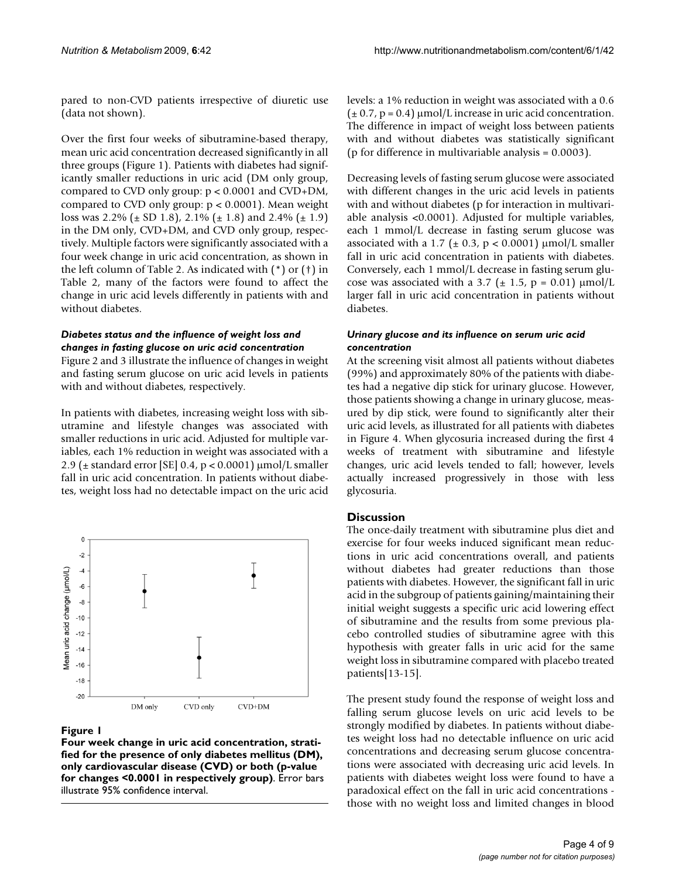pared to non-CVD patients irrespective of diuretic use (data not shown).

Over the first four weeks of sibutramine-based therapy, mean uric acid concentration decreased significantly in all three groups (Figure 1). Patients with diabetes had significantly smaller reductions in uric acid (DM only group, compared to CVD only group: p < 0.0001 and CVD+DM, compared to CVD only group:  $p < 0.0001$ ). Mean weight loss was 2.2% ( $\pm$  SD 1.8), 2.1% ( $\pm$  1.8) and 2.4% ( $\pm$  1.9) in the DM only, CVD+DM, and CVD only group, respectively. Multiple factors were significantly associated with a four week change in uric acid concentration, as shown in the left column of Table 2. As indicated with (\*) or (†) in Table 2, many of the factors were found to affect the change in uric acid levels differently in patients with and without diabetes.

#### *Diabetes status and the influence of weight loss and changes in fasting glucose on uric acid concentration*

Figure 2 and 3 illustrate the influence of changes in weight and fasting serum glucose on uric acid levels in patients with and without diabetes, respectively.

In patients with diabetes, increasing weight loss with sibutramine and lifestyle changes was associated with smaller reductions in uric acid. Adjusted for multiple variables, each 1% reduction in weight was associated with a 2.9 (± standard error [SE] 0.4, p < 0.0001) μmol/L smaller fall in uric acid concentration. In patients without diabetes, weight loss had no detectable impact on the uric acid



## Figure I

**Four week change in uric acid concentration, stratified for the presence of only diabetes mellitus (DM), only cardiovascular disease (CVD) or both (p-value for changes <0.0001 in respectively group)**. Error bars illustrate 95% confidence interval.

levels: a 1% reduction in weight was associated with a 0.6  $(\pm 0.7, p = 0.4)$  μmol/L increase in uric acid concentration. The difference in impact of weight loss between patients with and without diabetes was statistically significant (p for difference in multivariable analysis = 0.0003).

Decreasing levels of fasting serum glucose were associated with different changes in the uric acid levels in patients with and without diabetes (p for interaction in multivariable analysis <0.0001). Adjusted for multiple variables, each 1 mmol/L decrease in fasting serum glucose was associated with a 1.7 ( $\pm$  0.3, p < 0.0001) µmol/L smaller fall in uric acid concentration in patients with diabetes. Conversely, each 1 mmol/L decrease in fasting serum glucose was associated with a 3.7 ( $\pm$  1.5, p = 0.01)  $\mu$ mol/L larger fall in uric acid concentration in patients without diabetes.

#### *Urinary glucose and its influence on serum uric acid concentration*

At the screening visit almost all patients without diabetes (99%) and approximately 80% of the patients with diabetes had a negative dip stick for urinary glucose. However, those patients showing a change in urinary glucose, measured by dip stick, were found to significantly alter their uric acid levels, as illustrated for all patients with diabetes in Figure 4. When glycosuria increased during the first 4 weeks of treatment with sibutramine and lifestyle changes, uric acid levels tended to fall; however, levels actually increased progressively in those with less glycosuria.

# **Discussion**

The once-daily treatment with sibutramine plus diet and exercise for four weeks induced significant mean reductions in uric acid concentrations overall, and patients without diabetes had greater reductions than those patients with diabetes. However, the significant fall in uric acid in the subgroup of patients gaining/maintaining their initial weight suggests a specific uric acid lowering effect of sibutramine and the results from some previous placebo controlled studies of sibutramine agree with this hypothesis with greater falls in uric acid for the same weight loss in sibutramine compared with placebo treated patients[13-15].

The present study found the response of weight loss and falling serum glucose levels on uric acid levels to be strongly modified by diabetes. In patients without diabetes weight loss had no detectable influence on uric acid concentrations and decreasing serum glucose concentrations were associated with decreasing uric acid levels. In patients with diabetes weight loss were found to have a paradoxical effect on the fall in uric acid concentrations those with no weight loss and limited changes in blood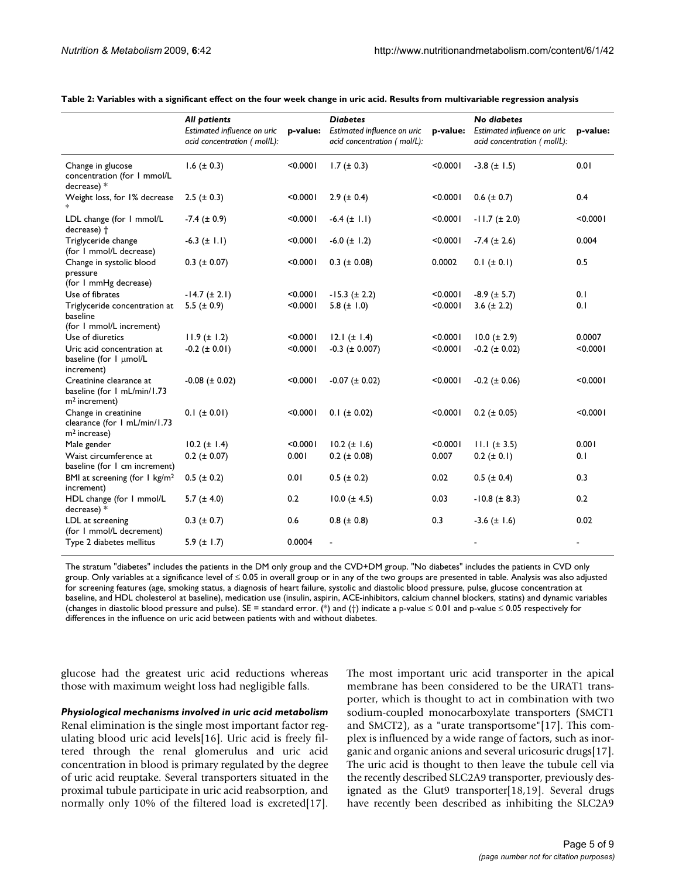|                                                                           | <b>All patients</b><br>Estimated influence on uric<br>acid concentration ( mol/L): |          | <b>Diabetes</b><br><b>p-value:</b> Estimated influence on uric<br>acid concentration ( mol/L): | p-value: | No diabetes<br>Estimated influence on uric<br>acid concentration ( mol/L): | p-value: |
|---------------------------------------------------------------------------|------------------------------------------------------------------------------------|----------|------------------------------------------------------------------------------------------------|----------|----------------------------------------------------------------------------|----------|
| Change in glucose<br>concentration (for 1 mmol/L<br>decrease) *           | $1.6 (\pm 0.3)$                                                                    | < 0.0001 | $1.7 (\pm 0.3)$                                                                                | < 0.0001 | $-3.8 (\pm 1.5)$                                                           | 0.01     |
| Weight loss, for 1% decrease                                              | $2.5 (\pm 0.3)$                                                                    | < 0.0001 | $2.9 (\pm 0.4)$                                                                                | < 0.0001 | $0.6 (\pm 0.7)$                                                            | 0.4      |
| LDL change (for 1 mmol/L<br>decrease) +                                   | $-7.4$ ( $\pm$ 0.9)                                                                | < 0.0001 | $-6.4 (± 1.1)$                                                                                 | < 0.0001 | $-11.7 (\pm 2.0)$                                                          | < 0.0001 |
| Triglyceride change<br>(for I mmol/L decrease)                            | $-6.3$ ( $\pm$ 1.1)                                                                | < 0.0001 | $-6.0$ ( $\pm$ 1.2)                                                                            | < 0.0001 | $-7.4$ ( $\pm$ 2.6)                                                        | 0.004    |
| Change in systolic blood<br>pressure                                      | $0.3 (\pm 0.07)$                                                                   | < 0.0001 | $0.3$ ( $\pm$ 0.08)                                                                            | 0.0002   | $0.1 (\pm 0.1)$                                                            | 0.5      |
| (for 1 mmHg decrease)                                                     |                                                                                    |          |                                                                                                |          |                                                                            |          |
| Use of fibrates                                                           | $-14.7 (\pm 2.1)$                                                                  | < 0.0001 | $-15.3 (\pm 2.2)$                                                                              | < 0.0001 | $-8.9$ ( $\pm$ 5.7)                                                        | 0.1      |
| Triglyceride concentration at<br>baseline                                 | 5.5 ( $\pm$ 0.9)                                                                   | < 0.0001 | 5.8 $(\pm$ 1.0)                                                                                | < 0.0001 | 3.6 $(\pm 2.2)$                                                            | 0.1      |
| (for 1 mmol/L increment)                                                  |                                                                                    |          |                                                                                                |          |                                                                            |          |
| Use of diuretics                                                          | $11.9 (\pm 1.2)$                                                                   | < 0.0001 | $12.1 (\pm 1.4)$                                                                               | < 0.0001 | $10.0 (\pm 2.9)$                                                           | 0.0007   |
| Uric acid concentration at<br>baseline (for 1 µmol/L<br>increment)        | $-0.2$ ( $\pm$ 0.01)                                                               | < 0.0001 | $-0.3$ ( $\pm$ 0.007)                                                                          | < 0.0001 | $-0.2$ ( $\pm$ 0.02)                                                       | < 0.0001 |
| Creatinine clearance at<br>baseline (for 1 mL/min/1.73<br>$m2$ increment) | $-0.08$ ( $\pm$ 0.02)                                                              | < 0.0001 | $-0.07$ ( $\pm$ 0.02)                                                                          | < 0.0001 | $-0.2$ ( $\pm$ 0.06)                                                       | < 0.0001 |
| Change in creatinine<br>clearance (for 1 mL/min/1.73<br>$m2$ increase)    | $0.1$ ( $\pm$ 0.01)                                                                | < 0.0001 | $0.1$ ( $\pm$ 0.02)                                                                            | < 0.0001 | $0.2$ ( $\pm$ 0.05)                                                        | < 0.0001 |
| Male gender                                                               | $10.2 (\pm 1.4)$                                                                   | < 0.0001 | $10.2 (\pm 1.6)$                                                                               | < 0.0001 | $11.1 (\pm 3.5)$                                                           | 0.001    |
| Waist circumference at<br>baseline (for I cm increment)                   | $0.2$ ( $\pm$ 0.07)                                                                | 0.001    | $0.2$ ( $\pm$ 0.08)                                                                            | 0.007    | $0.2 (\pm 0.1)$                                                            | 0.1      |
| BMI at screening (for 1 kg/m <sup>2</sup><br>increment)                   | $0.5$ ( $\pm$ 0.2)                                                                 | 0.01     | $0.5 (\pm 0.2)$                                                                                | 0.02     | $0.5 (\pm 0.4)$                                                            | 0.3      |
| HDL change (for 1 mmol/L<br>decrease) *                                   | 5.7 $(\pm 4.0)$                                                                    | 0.2      | $10.0 (\pm 4.5)$                                                                               | 0.03     | $-10.8 (\pm 8.3)$                                                          | 0.2      |
| LDL at screening<br>(for I mmol/L decrement)                              | $0.3 (\pm 0.7)$                                                                    | 0.6      | $0.8 (\pm 0.8)$                                                                                | 0.3      | $-3.6 (\pm 1.6)$                                                           | 0.02     |
| Type 2 diabetes mellitus                                                  | 5.9 $(\pm$ 1.7)                                                                    | 0.0004   |                                                                                                |          |                                                                            |          |

**Table 2: Variables with a significant effect on the four week change in uric acid. Results from multivariable regression analysis**

The stratum "diabetes" includes the patients in the DM only group and the CVD+DM group. "No diabetes" includes the patients in CVD only group. Only variables at a significance level of ≤ 0.05 in overall group or in any of the two groups are presented in table. Analysis was also adjusted for screening features (age, smoking status, a diagnosis of heart failure, systolic and diastolic blood pressure, pulse, glucose concentration at baseline, and HDL cholesterol at baseline), medication use (insulin, aspirin, ACE-inhibitors, calcium channel blockers, statins) and dynamic variables (changes in diastolic blood pressure and pulse). SE = standard error. (\*) and (†) indicate a p-value ≤ 0.01 and p-value ≤ 0.05 respectively for differences in the influence on uric acid between patients with and without diabetes.

glucose had the greatest uric acid reductions whereas those with maximum weight loss had negligible falls.

*Physiological mechanisms involved in uric acid metabolism*

Renal elimination is the single most important factor regulating blood uric acid levels[16]. Uric acid is freely filtered through the renal glomerulus and uric acid concentration in blood is primary regulated by the degree of uric acid reuptake. Several transporters situated in the proximal tubule participate in uric acid reabsorption, and normally only 10% of the filtered load is excreted[17].

The most important uric acid transporter in the apical membrane has been considered to be the URAT1 transporter, which is thought to act in combination with two sodium-coupled monocarboxylate transporters (SMCT1 and SMCT2), as a "urate transportsome"[17]. This complex is influenced by a wide range of factors, such as inorganic and organic anions and several uricosuric drugs[17]. The uric acid is thought to then leave the tubule cell via the recently described SLC2A9 transporter, previously designated as the Glut9 transporter[18,19]. Several drugs have recently been described as inhibiting the SLC2A9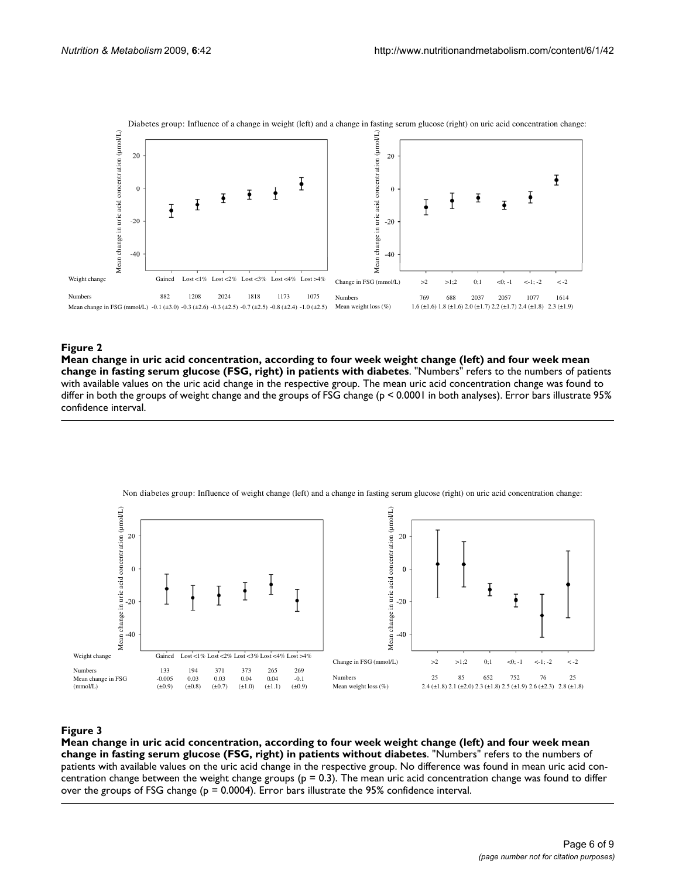

Diabetes group: Influence of a change in weight (left) and a change in fasting serum glucose (right) on uric acid concentration change:

# Mean change in uric acid concentration, serum glucose (FSG, right) in patients with diabetes **Figure 2** according to four week weight change (left) and four week mean change in fasting

**Mean change in uric acid concentration, according to four week weight change (left) and four week mean change in fasting serum glucose (FSG, right) in patients with diabetes**. "Numbers" refers to the numbers of patients with available values on the uric acid change in the respective group. The mean uric acid concentration change was found to differ in both the groups of weight change and the groups of FSG change (p < 0.0001 in both analyses). Error bars illustrate 95% confidence interval.



Non diabetes group: Influence of weight change (left) and a change in fasting serum glucose (right) on uric acid concentration change:

# Mean change in uric acid concentration, serum glucose (FSG, right) in **Figure 3** patients without diabetes according to four week weight change (left) and four week mean change in fasting

**Mean change in uric acid concentration, according to four week weight change (left) and four week mean change in fasting serum glucose (FSG, right) in patients without diabetes**. "Numbers" refers to the numbers of patients with available values on the uric acid change in the respective group. No difference was found in mean uric acid concentration change between the weight change groups ( $p = 0.3$ ). The mean uric acid concentration change was found to differ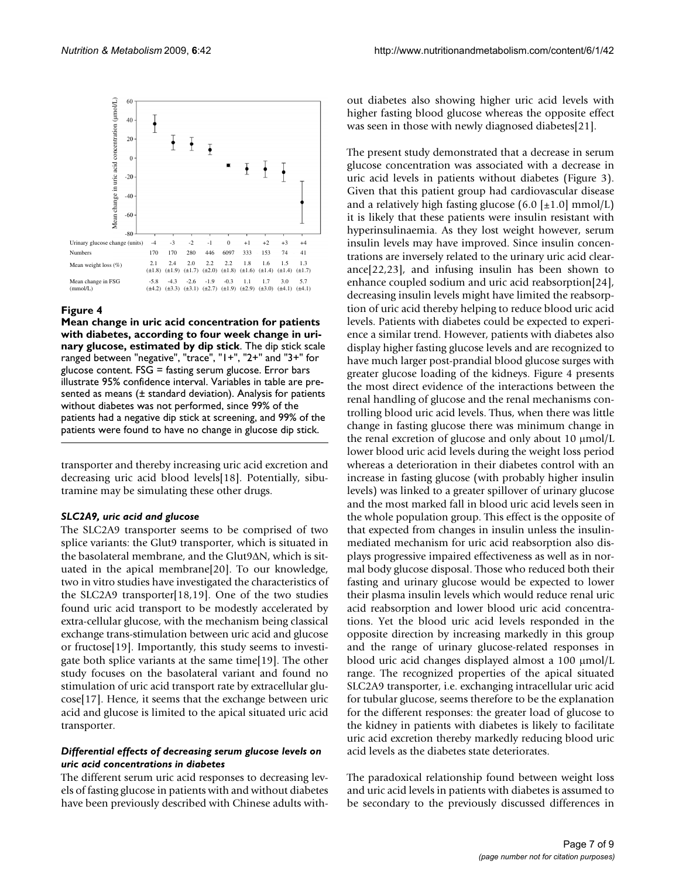

## Figure 4

**Mean change in uric acid concentration for patients with diabetes, according to four week change in urinary glucose, estimated by dip stick**. The dip stick scale ranged between "negative", "trace", "1+", "2+" and "3+" for glucose content. FSG = fasting serum glucose. Error bars illustrate 95% confidence interval. Variables in table are presented as means (± standard deviation). Analysis for patients without diabetes was not performed, since 99% of the patients had a negative dip stick at screening, and 99% of the

transporter and thereby increasing uric acid excretion and decreasing uric acid blood levels[18]. Potentially, sibutramine may be simulating these other drugs.

## *SLC2A9, uric acid and glucose*

The SLC2A9 transporter seems to be comprised of two splice variants: the Glut9 transporter, which is situated in the basolateral membrane, and the Glut9ΔN, which is situated in the apical membrane[20]. To our knowledge, two in vitro studies have investigated the characteristics of the SLC2A9 transporter[18,19]. One of the two studies found uric acid transport to be modestly accelerated by extra-cellular glucose, with the mechanism being classical exchange trans-stimulation between uric acid and glucose or fructose[19]. Importantly, this study seems to investigate both splice variants at the same time[19]. The other study focuses on the basolateral variant and found no stimulation of uric acid transport rate by extracellular glucose[17]. Hence, it seems that the exchange between uric acid and glucose is limited to the apical situated uric acid transporter.

#### *Differential effects of decreasing serum glucose levels on uric acid concentrations in diabetes*

The different serum uric acid responses to decreasing levels of fasting glucose in patients with and without diabetes have been previously described with Chinese adults without diabetes also showing higher uric acid levels with higher fasting blood glucose whereas the opposite effect was seen in those with newly diagnosed diabetes[21].

The present study demonstrated that a decrease in serum glucose concentration was associated with a decrease in uric acid levels in patients without diabetes (Figure 3). Given that this patient group had cardiovascular disease and a relatively high fasting glucose  $(6.0 \pm 1.0)$  mmol/L) it is likely that these patients were insulin resistant with hyperinsulinaemia. As they lost weight however, serum insulin levels may have improved. Since insulin concentrations are inversely related to the urinary uric acid clearance[22,23], and infusing insulin has been shown to enhance coupled sodium and uric acid reabsorption[24], decreasing insulin levels might have limited the reabsorption of uric acid thereby helping to reduce blood uric acid levels. Patients with diabetes could be expected to experience a similar trend. However, patients with diabetes also display higher fasting glucose levels and are recognized to have much larger post-prandial blood glucose surges with greater glucose loading of the kidneys. Figure 4 presents the most direct evidence of the interactions between the renal handling of glucose and the renal mechanisms controlling blood uric acid levels. Thus, when there was little change in fasting glucose there was minimum change in the renal excretion of glucose and only about 10 μmol/L lower blood uric acid levels during the weight loss period whereas a deterioration in their diabetes control with an increase in fasting glucose (with probably higher insulin levels) was linked to a greater spillover of urinary glucose and the most marked fall in blood uric acid levels seen in the whole population group. This effect is the opposite of that expected from changes in insulin unless the insulinmediated mechanism for uric acid reabsorption also displays progressive impaired effectiveness as well as in normal body glucose disposal. Those who reduced both their fasting and urinary glucose would be expected to lower their plasma insulin levels which would reduce renal uric acid reabsorption and lower blood uric acid concentrations. Yet the blood uric acid levels responded in the opposite direction by increasing markedly in this group and the range of urinary glucose-related responses in blood uric acid changes displayed almost a 100 μmol/L range. The recognized properties of the apical situated SLC2A9 transporter, i.e. exchanging intracellular uric acid for tubular glucose, seems therefore to be the explanation for the different responses: the greater load of glucose to the kidney in patients with diabetes is likely to facilitate uric acid excretion thereby markedly reducing blood uric acid levels as the diabetes state deteriorates.

The paradoxical relationship found between weight loss and uric acid levels in patients with diabetes is assumed to be secondary to the previously discussed differences in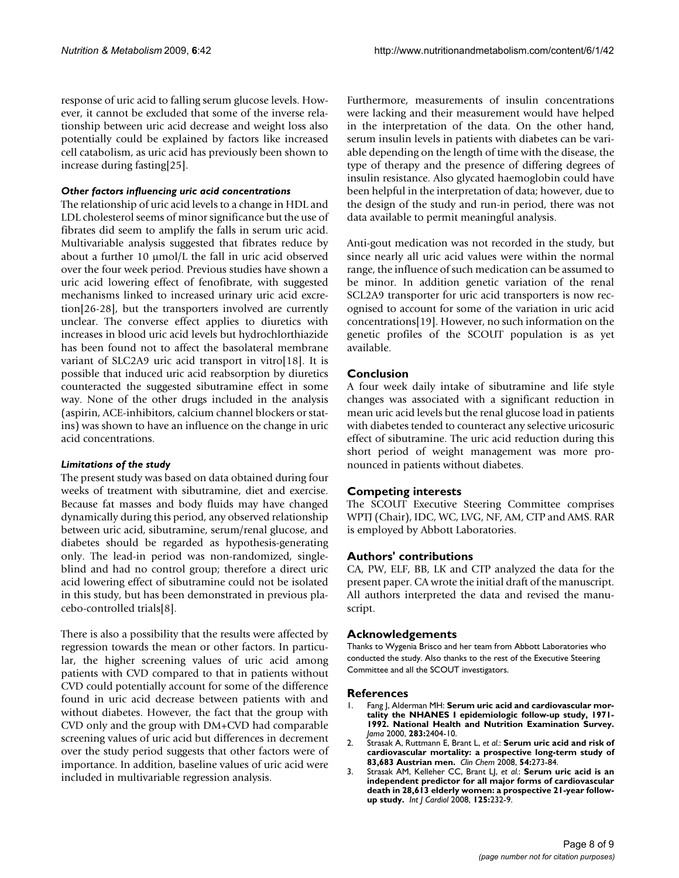response of uric acid to falling serum glucose levels. However, it cannot be excluded that some of the inverse relationship between uric acid decrease and weight loss also potentially could be explained by factors like increased cell catabolism, as uric acid has previously been shown to increase during fasting[25].

#### *Other factors influencing uric acid concentrations*

The relationship of uric acid levels to a change in HDL and LDL cholesterol seems of minor significance but the use of fibrates did seem to amplify the falls in serum uric acid. Multivariable analysis suggested that fibrates reduce by about a further 10 μmol/L the fall in uric acid observed over the four week period. Previous studies have shown a uric acid lowering effect of fenofibrate, with suggested mechanisms linked to increased urinary uric acid excretion[26-28], but the transporters involved are currently unclear. The converse effect applies to diuretics with increases in blood uric acid levels but hydrochlorthiazide has been found not to affect the basolateral membrane variant of SLC2A9 uric acid transport in vitro[18]. It is possible that induced uric acid reabsorption by diuretics counteracted the suggested sibutramine effect in some way. None of the other drugs included in the analysis (aspirin, ACE-inhibitors, calcium channel blockers or statins) was shown to have an influence on the change in uric acid concentrations.

#### *Limitations of the study*

The present study was based on data obtained during four weeks of treatment with sibutramine, diet and exercise. Because fat masses and body fluids may have changed dynamically during this period, any observed relationship between uric acid, sibutramine, serum/renal glucose, and diabetes should be regarded as hypothesis-generating only. The lead-in period was non-randomized, singleblind and had no control group; therefore a direct uric acid lowering effect of sibutramine could not be isolated in this study, but has been demonstrated in previous placebo-controlled trials[8].

There is also a possibility that the results were affected by regression towards the mean or other factors. In particular, the higher screening values of uric acid among patients with CVD compared to that in patients without CVD could potentially account for some of the difference found in uric acid decrease between patients with and without diabetes. However, the fact that the group with CVD only and the group with DM+CVD had comparable screening values of uric acid but differences in decrement over the study period suggests that other factors were of importance. In addition, baseline values of uric acid were included in multivariable regression analysis.

Furthermore, measurements of insulin concentrations were lacking and their measurement would have helped in the interpretation of the data. On the other hand, serum insulin levels in patients with diabetes can be variable depending on the length of time with the disease, the type of therapy and the presence of differing degrees of insulin resistance. Also glycated haemoglobin could have been helpful in the interpretation of data; however, due to the design of the study and run-in period, there was not data available to permit meaningful analysis.

Anti-gout medication was not recorded in the study, but since nearly all uric acid values were within the normal range, the influence of such medication can be assumed to be minor. In addition genetic variation of the renal SCL2A9 transporter for uric acid transporters is now recognised to account for some of the variation in uric acid concentrations[19]. However, no such information on the genetic profiles of the SCOUT population is as yet available.

## **Conclusion**

A four week daily intake of sibutramine and life style changes was associated with a significant reduction in mean uric acid levels but the renal glucose load in patients with diabetes tended to counteract any selective uricosuric effect of sibutramine. The uric acid reduction during this short period of weight management was more pronounced in patients without diabetes.

## **Competing interests**

The SCOUT Executive Steering Committee comprises WPTJ (Chair), IDC, WC, LVG, NF, AM, CTP and AMS. RAR is employed by Abbott Laboratories.

## **Authors' contributions**

CA, PW, ELF, BB, LK and CTP analyzed the data for the present paper. CA wrote the initial draft of the manuscript. All authors interpreted the data and revised the manuscript.

## **Acknowledgements**

Thanks to Wygenia Brisco and her team from Abbott Laboratories who conducted the study. Also thanks to the rest of the Executive Steering Committee and all the SCOUT investigators.

#### **References**

- 1. Fang J, Alderman MH: **[Serum uric acid and cardiovascular mor](http://www.ncbi.nlm.nih.gov/entrez/query.fcgi?cmd=Retrieve&db=PubMed&dopt=Abstract&list_uids=10815083)[tality the NHANES I epidemiologic follow-up study, 1971-](http://www.ncbi.nlm.nih.gov/entrez/query.fcgi?cmd=Retrieve&db=PubMed&dopt=Abstract&list_uids=10815083) 1992. National Health and Nutrition Examination Survey.** *Jama* 2000, **283:**2404-10.
- 2. Strasak A, Ruttmann E, Brant L, *et al.*: **[Serum uric acid and risk of](http://www.ncbi.nlm.nih.gov/entrez/query.fcgi?cmd=Retrieve&db=PubMed&dopt=Abstract&list_uids=18039719) [cardiovascular mortality: a prospective long-term study of](http://www.ncbi.nlm.nih.gov/entrez/query.fcgi?cmd=Retrieve&db=PubMed&dopt=Abstract&list_uids=18039719) [83,683 Austrian men.](http://www.ncbi.nlm.nih.gov/entrez/query.fcgi?cmd=Retrieve&db=PubMed&dopt=Abstract&list_uids=18039719)** *Clin Chem* 2008, **54:**273-84.
- 3. Strasak AM, Kelleher CC, Brant LJ, *et al.*: **[Serum uric acid is an](http://www.ncbi.nlm.nih.gov/entrez/query.fcgi?cmd=Retrieve&db=PubMed&dopt=Abstract&list_uids=18237790) [independent predictor for all major forms of cardiovascular](http://www.ncbi.nlm.nih.gov/entrez/query.fcgi?cmd=Retrieve&db=PubMed&dopt=Abstract&list_uids=18237790) death in 28,613 elderly women: a prospective 21-year follow[up study.](http://www.ncbi.nlm.nih.gov/entrez/query.fcgi?cmd=Retrieve&db=PubMed&dopt=Abstract&list_uids=18237790)** *Int J Cardiol* 2008, **125:**232-9.